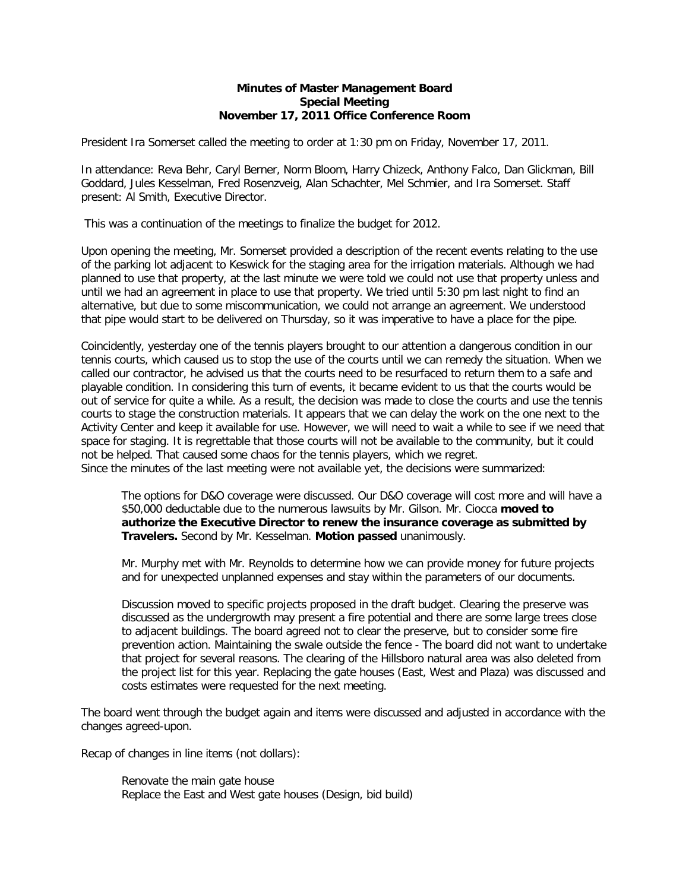## **Minutes of Master Management Board Special Meeting November 17, 2011 Office Conference Room**

President Ira Somerset called the meeting to order at 1:30 pm on Friday, November 17, 2011.

In attendance: Reva Behr, Caryl Berner, Norm Bloom, Harry Chizeck, Anthony Falco, Dan Glickman, Bill Goddard, Jules Kesselman, Fred Rosenzveig, Alan Schachter, Mel Schmier, and Ira Somerset. Staff present: Al Smith, Executive Director.

This was a continuation of the meetings to finalize the budget for 2012.

Upon opening the meeting, Mr. Somerset provided a description of the recent events relating to the use of the parking lot adjacent to Keswick for the staging area for the irrigation materials. Although we had planned to use that property, at the last minute we were told we could not use that property unless and until we had an agreement in place to use that property. We tried until 5:30 pm last night to find an alternative, but due to some miscommunication, we could not arrange an agreement. We understood that pipe would start to be delivered on Thursday, so it was imperative to have a place for the pipe.

Coincidently, yesterday one of the tennis players brought to our attention a dangerous condition in our tennis courts, which caused us to stop the use of the courts until we can remedy the situation. When we called our contractor, he advised us that the courts need to be resurfaced to return them to a safe and playable condition. In considering this turn of events, it became evident to us that the courts would be out of service for quite a while. As a result, the decision was made to close the courts and use the tennis courts to stage the construction materials. It appears that we can delay the work on the one next to the Activity Center and keep it available for use. However, we will need to wait a while to see if we need that space for staging. It is regrettable that those courts will not be available to the community, but it could not be helped. That caused some chaos for the tennis players, which we regret. Since the minutes of the last meeting were not available yet, the decisions were summarized:

The options for D&O coverage were discussed. Our D&O coverage will cost more and will have a \$50,000 deductable due to the numerous lawsuits by Mr. Gilson. Mr. Ciocca **moved to authorize the Executive Director to renew the insurance coverage as submitted by Travelers.** Second by Mr. Kesselman. **Motion passed** unanimously.

Mr. Murphy met with Mr. Reynolds to determine how we can provide money for future projects and for unexpected unplanned expenses and stay within the parameters of our documents.

Discussion moved to specific projects proposed in the draft budget. Clearing the preserve was discussed as the undergrowth may present a fire potential and there are some large trees close to adjacent buildings. The board agreed not to clear the preserve, but to consider some fire prevention action. Maintaining the swale outside the fence - The board did not want to undertake that project for several reasons. The clearing of the Hillsboro natural area was also deleted from the project list for this year. Replacing the gate houses (East, West and Plaza) was discussed and costs estimates were requested for the next meeting.

The board went through the budget again and items were discussed and adjusted in accordance with the changes agreed-upon.

Recap of changes in line items (not dollars):

Renovate the main gate house Replace the East and West gate houses (Design, bid build)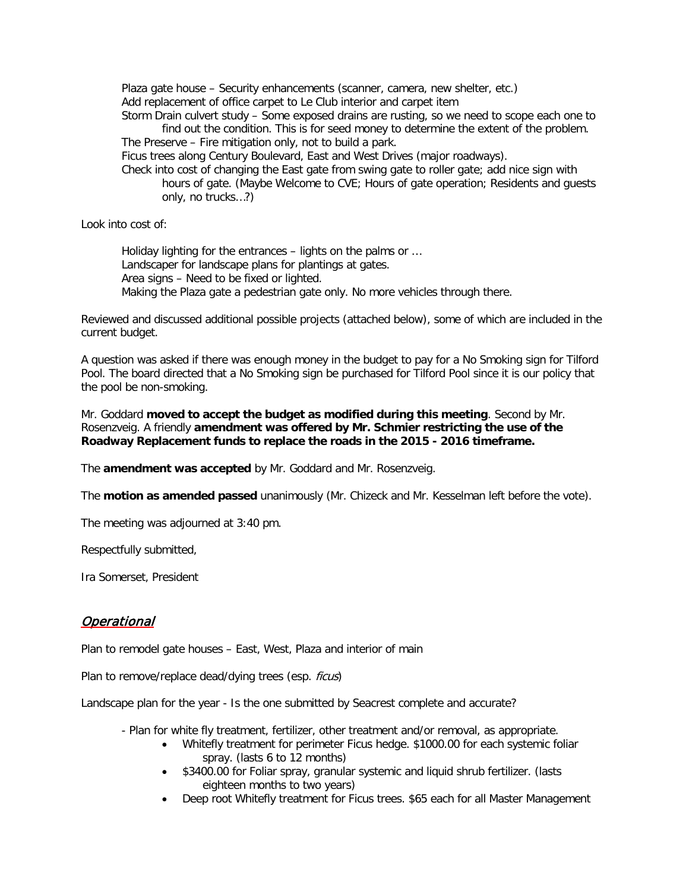Plaza gate house – Security enhancements (scanner, camera, new shelter, etc.) Add replacement of office carpet to Le Club interior and carpet item

Storm Drain culvert study – Some exposed drains are rusting, so we need to scope each one to find out the condition. This is for seed money to determine the extent of the problem. The Preserve – Fire mitigation only, not to build a park.

Ficus trees along Century Boulevard, East and West Drives (major roadways).

Check into cost of changing the East gate from swing gate to roller gate; add nice sign with hours of gate. (Maybe Welcome to CVE; Hours of gate operation; Residents and guests only, no trucks…?)

Look into cost of:

Holiday lighting for the entrances – lights on the palms or … Landscaper for landscape plans for plantings at gates. Area signs – Need to be fixed or lighted. Making the Plaza gate a pedestrian gate only. No more vehicles through there.

Reviewed and discussed additional possible projects (attached below), some of which are included in the current budget.

A question was asked if there was enough money in the budget to pay for a No Smoking sign for Tilford Pool. The board directed that a No Smoking sign be purchased for Tilford Pool since it is our policy that the pool be non-smoking.

Mr. Goddard **moved to accept the budget as modified during this meeting**. Second by Mr. Rosenzveig. A friendly **amendment was offered by Mr. Schmier restricting the use of the Roadway Replacement funds to replace the roads in the 2015 - 2016 timeframe.**

The **amendment was accepted** by Mr. Goddard and Mr. Rosenzveig.

The **motion as amended passed** unanimously (Mr. Chizeck and Mr. Kesselman left before the vote).

The meeting was adjourned at 3:40 pm.

Respectfully submitted,

Ira Somerset, President

## **Operational**

Plan to remodel gate houses – East, West, Plaza and interior of main

Plan to remove/replace dead/dying trees (esp. *ficus*)

Landscape plan for the year - Is the one submitted by Seacrest complete and accurate?

- Plan for white fly treatment, fertilizer, other treatment and/or removal, as appropriate.
	- Whitefly treatment for perimeter Ficus hedge. \$1000.00 for each systemic foliar spray. (lasts 6 to 12 months)
	- \$3400.00 for Foliar spray, granular systemic and liquid shrub fertilizer. (lasts eighteen months to two years)
	- Deep root Whitefly treatment for Ficus trees. \$65 each for all Master Management